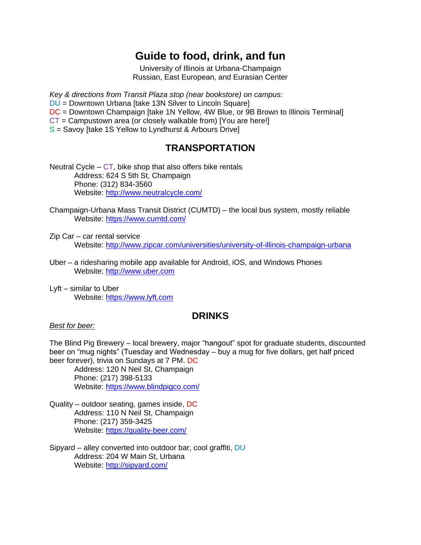# **Guide to food, drink, and fun**

University of Illinois at Urbana-Champaign Russian, East European, and Eurasian Center

*Key & directions from Transit Plaza stop (near bookstore) on campus:*  DU = Downtown Urbana [take 13N Silver to Lincoln Square] DC = Downtown Champaign [take 1N Yellow, 4W Blue, or 9B Brown to Illinois Terminal] CT = Campustown area (or closely walkable from) [You are here!]  $S =$  Savoy [take 1S Yellow to Lyndhurst & Arbours Drive]

# **TRANSPORTATION**

Neutral Cycle –  $CT$ , bike shop that also offers bike rentals Address: 624 S 5th St, Champaign Phone: (312) 834-3560 Website:<http://www.neutralcycle.com/>

Champaign-Urbana Mass Transit District (CUMTD) – the local bus system, mostly reliable Website:<https://www.cumtd.com/>

Zip Car – car rental service Website:<http://www.zipcar.com/universities/university-of-illinois-champaign-urbana>

- Uber a ridesharing mobile app available for Android, iOS, and Windows Phones Website: [http://www.uber.com](http://www.uber.com/)
- Lyft similar to Uber Website: [https://www.lyft.com](https://www.lyft.com/)

### **DRINKS**

### *Best for beer:*

The Blind Pig Brewery – local brewery, major "hangout" spot for graduate students, discounted beer on "mug nights" (Tuesday and Wednesday – buy a mug for five dollars, get half priced beer forever), trivia on Sundays at 7 PM. DC

Address: 120 N Neil St, Champaign Phone: (217) 398-5133 Website:<https://www.blindpigco.com/>

Quality – outdoor seating, games inside, DC Address: 110 N Neil St, Champaign Phone: (217) 359-3425 Website:<https://quality-beer.com/>

Sipyard – alley converted into outdoor bar, cool graffiti, DU Address: 204 W Main St, Urbana Website:<http://sipyard.com/>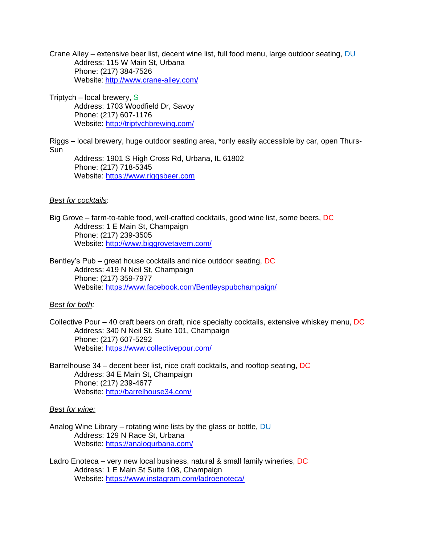Crane Alley – extensive beer list, decent wine list, full food menu, large outdoor seating, DU Address: 115 W Main St, Urbana Phone: (217) 384-7526 Website: <http://www.crane-alley.com/>

Triptych – local brewery, S Address: 1703 Woodfield Dr, Savoy Phone: (217) 607-1176 Website:<http://triptychbrewing.com/>

Riggs – local brewery, huge outdoor seating area, \*only easily accessible by car, open Thurs-Sun

Address: 1901 S High Cross Rd, Urbana, IL 61802 Phone: (217) 718-5345 Website: [https://www.riggsbeer.com](https://www.riggsbeer.com/)

#### *Best for cocktails*:

Big Grove – farm-to-table food, well-crafted cocktails, good wine list, some beers, DC Address: 1 E Main St, Champaign Phone: (217) 239-3505 Website:<http://www.biggrovetavern.com/>

Bentley's Pub – great house cocktails and nice outdoor seating, DC Address: 419 N Neil St, Champaign Phone: (217) 359-7977 Website:<https://www.facebook.com/Bentleyspubchampaign/>

### *Best for both:*

Collective Pour – 40 craft beers on draft, nice specialty cocktails, extensive whiskey menu, DC Address: 340 N Neil St. Suite 101, Champaign Phone: (217) 607-5292 Website:<https://www.collectivepour.com/>

Barrelhouse 34 – decent beer list, nice craft cocktails, and rooftop seating, DC Address: 34 E Main St, Champaign Phone: (217) 239-4677 Website:<http://barrelhouse34.com/>

#### *Best for wine:*

- Analog Wine Library rotating wine lists by the glass or bottle, DU Address: 129 N Race St, Urbana Website:<https://analogurbana.com/>
- Ladro Enoteca very new local business, natural & small family wineries, DC Address: 1 E Main St Suite 108, Champaign Website:<https://www.instagram.com/ladroenoteca/>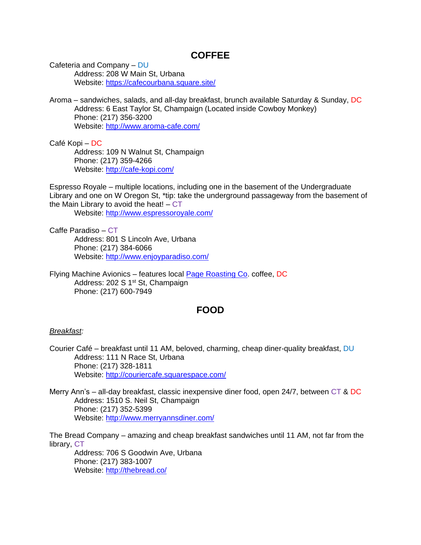### **COFFEE**

Cafeteria and Company – DU Address: 208 W Main St, Urbana Website:<https://cafecourbana.square.site/>

Aroma – sandwiches, salads, and all-day breakfast, brunch available Saturday & Sunday, DC Address: 6 East Taylor St, Champaign (Located inside Cowboy Monkey) Phone: (217) 356-3200 Website:<http://www.aroma-cafe.com/>

Café Kopi – DC Address: 109 N Walnut St, Champaign Phone: (217) 359-4266 Website:<http://cafe-kopi.com/>

Espresso Royale – multiple locations, including one in the basement of the Undergraduate Library and one on W Oregon St, \*tip: take the underground passageway from the basement of the Main Library to avoid the heat!  $-CT$ 

Website:<http://www.espressoroyale.com/>

Caffe Paradiso – CT Address: 801 S Lincoln Ave, Urbana Phone: (217) 384-6066 Website:<http://www.enjoyparadiso.com/>

Flying Machine Avionics – features local [Page Roasting Co.](https://pageroastingcompany.com/) coffee, DC Address: 202 S 1<sup>st</sup> St, Champaign Phone: (217) 600-7949

### **FOOD**

### *Breakfast:*

Courier Café – breakfast until 11 AM, beloved, charming, cheap diner-quality breakfast, DU Address: 111 N Race St, Urbana Phone: (217) 328-1811 Website:<http://couriercafe.squarespace.com/>

Merry Ann's – all-day breakfast, classic inexpensive diner food, open 24/7, between CT & DC Address: 1510 S. Neil St, Champaign Phone: (217) 352-5399 Website:<http://www.merryannsdiner.com/>

The Bread Company – amazing and cheap breakfast sandwiches until 11 AM, not far from the library, CT

Address: 706 S Goodwin Ave, Urbana Phone: (217) 383-1007 Website:<http://thebread.co/>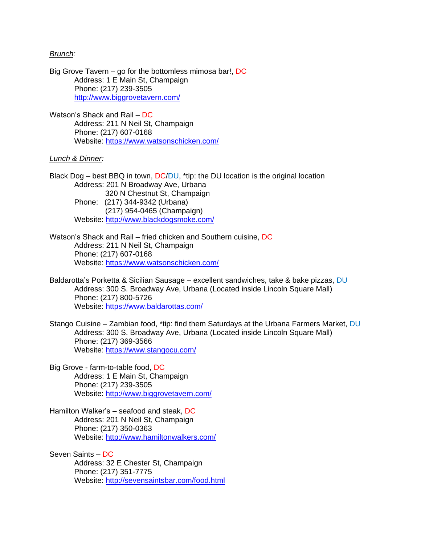### *Brunch:*

Big Grove Tavern – go for the bottomless mimosa bar!, DC Address: 1 E Main St, Champaign Phone: (217) 239-3505 <http://www.biggrovetavern.com/>

Watson's Shack and Rail – DC Address: 211 N Neil St, Champaign Phone: (217) 607-0168 Website:<https://www.watsonschicken.com/>

### *Lunch & Dinner:*

Black Dog – best BBQ in town,  $DC/DU$ , \*tip: the DU location is the original location Address: 201 N Broadway Ave, Urbana 320 N Chestnut St, Champaign Phone: (217) 344-9342 (Urbana) (217) 954-0465 (Champaign) Website:<http://www.blackdogsmoke.com/>

Watson's Shack and Rail – fried chicken and Southern cuisine, DC Address: 211 N Neil St, Champaign Phone: (217) 607-0168 Website:<https://www.watsonschicken.com/>

Baldarotta's Porketta & Sicilian Sausage – excellent sandwiches, take & bake pizzas, DU Address: 300 S. Broadway Ave, Urbana (Located inside Lincoln Square Mall) Phone: (217) 800-5726 Website:<https://www.baldarottas.com/>

Stango Cuisine – Zambian food, \*tip: find them Saturdays at the Urbana Farmers Market, DU Address: 300 S. Broadway Ave, Urbana (Located inside Lincoln Square Mall) Phone: (217) 369-3566 Website:<https://www.stangocu.com/>

- Big Grove farm-to-table food, DC Address: 1 E Main St, Champaign Phone: (217) 239-3505 Website:<http://www.biggrovetavern.com/>
- Hamilton Walker's seafood and steak, DC Address: 201 N Neil St, Champaign Phone: (217) 350-0363 Website:<http://www.hamiltonwalkers.com/>

Seven Saints – DC Address: 32 E Chester St, Champaign Phone: (217) 351-7775 Website:<http://sevensaintsbar.com/food.html>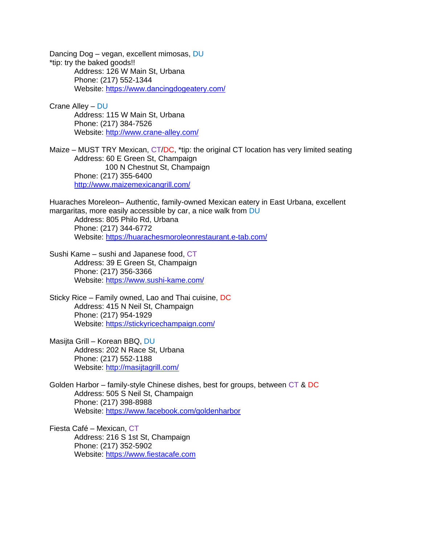Dancing Dog – vegan, excellent mimosas, DU \*tip: try the baked goods!! Address: 126 W Main St, Urbana Phone: (217) 552-1344 Website:<https://www.dancingdogeatery.com/>

Crane Alley – DU Address: 115 W Main St, Urbana Phone: (217) 384-7526 Website:<http://www.crane-alley.com/>

Maize – MUST TRY Mexican, CT/DC, \*tip: the original CT location has very limited seating Address: 60 E Green St, Champaign 100 N Chestnut St, Champaign Phone: (217) 355-6400 <http://www.maizemexicangrill.com/>

Huaraches Moreleon– Authentic, family-owned Mexican eatery in East Urbana, excellent margaritas, more easily accessible by car, a nice walk from DU

Address: 805 Philo Rd, Urbana Phone: (217) 344-6772 Website:<https://huarachesmoroleonrestaurant.e-tab.com/>

Sushi Kame – sushi and Japanese food, CT Address: 39 E Green St, Champaign Phone: (217) 356-3366 Website:<https://www.sushi-kame.com/>

Sticky Rice – Family owned, Lao and Thai cuisine, DC Address: 415 N Neil St, Champaign Phone: (217) 954-1929 Website:<https://stickyricechampaign.com/>

Masijta Grill – Korean BBQ, DU Address: 202 N Race St, Urbana Phone: (217) 552-1188 Website:<http://masijtagrill.com/>

Golden Harbor – family-style Chinese dishes, best for groups, between CT & DC Address: 505 S Neil St, Champaign Phone: (217) 398-8988 Website:<https://www.facebook.com/goldenharbor>

Fiesta Café – Mexican, CT Address: 216 S 1st St, Champaign Phone: (217) 352-5902 Website: [https://www.fiestacafe.com](https://www.fiestacafe.com/)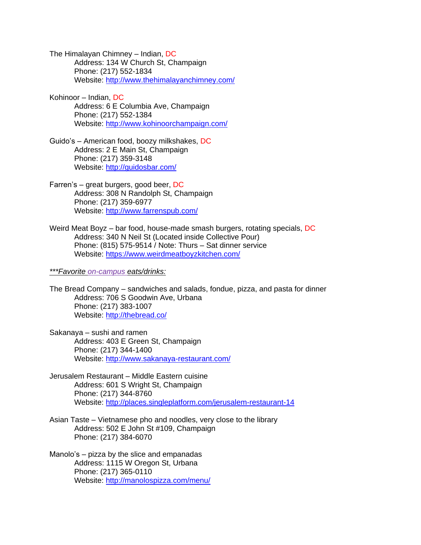The Himalayan Chimney – Indian, DC Address: 134 W Church St, Champaign Phone: (217) 552-1834 Website:<http://www.thehimalayanchimney.com/>

Kohinoor – Indian, DC Address: 6 E Columbia Ave, Champaign Phone: (217) 552-1384 Website:<http://www.kohinoorchampaign.com/>

Guido's – American food, boozy milkshakes, DC Address: 2 E Main St, Champaign Phone: (217) 359-3148 Website:<http://guidosbar.com/>

Farren's – great burgers, good beer, DC Address: 308 N Randolph St, Champaign Phone: (217) 359-6977 Website:<http://www.farrenspub.com/>

Weird Meat Boyz – bar food, house-made smash burgers, rotating specials, DC Address: 340 N Neil St (Located inside Collective Pour) Phone: (815) 575-9514 / Note: Thurs – Sat dinner service Website: <https://www.weirdmeatboyzkitchen.com/>

*\*\*\*Favorite on-campus eats/drinks:*

The Bread Company – sandwiches and salads, fondue, pizza, and pasta for dinner Address: 706 S Goodwin Ave, Urbana Phone: (217) 383-1007 Website:<http://thebread.co/>

Sakanaya – sushi and ramen Address: 403 E Green St, Champaign Phone: (217) 344-1400 Website:<http://www.sakanaya-restaurant.com/>

Jerusalem Restaurant – Middle Eastern cuisine Address: 601 S Wright St, Champaign Phone: (217) 344-8760 Website:<http://places.singleplatform.com/jerusalem-restaurant-14>

Asian Taste – Vietnamese pho and noodles, very close to the library Address: 502 E John St #109, Champaign Phone: (217) 384-6070

Manolo's – pizza by the slice and empanadas Address: 1115 W Oregon St, Urbana Phone: (217) 365-0110 Website:<http://manolospizza.com/menu/>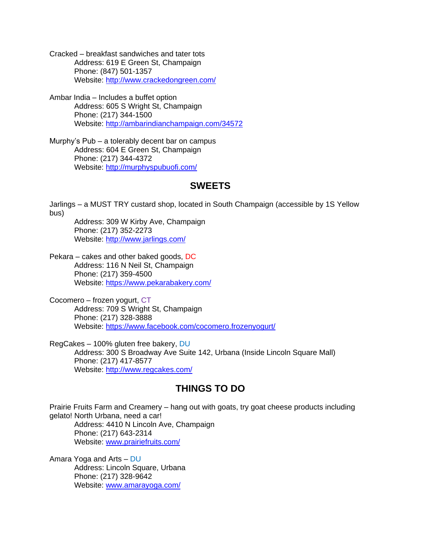- Cracked breakfast sandwiches and tater tots Address: 619 E Green St, Champaign Phone: (847) 501-1357 Website:<http://www.crackedongreen.com/>
- Ambar India Includes a buffet option Address: 605 S Wright St, Champaign Phone: (217) 344-1500 Website:<http://ambarindianchampaign.com/34572>
- Murphy's Pub a tolerably decent bar on campus Address: 604 E Green St, Champaign Phone: (217) 344-4372 Website:<http://murphyspubuofi.com/>

### **SWEETS**

Jarlings – a MUST TRY custard shop, located in South Champaign (accessible by 1S Yellow bus)

Address: 309 W Kirby Ave, Champaign Phone: (217) 352-2273 Website:<http://www.jarlings.com/>

Pekara – cakes and other baked goods, DC Address: 116 N Neil St, Champaign Phone: (217) 359-4500 Website:<https://www.pekarabakery.com/>

Cocomero – frozen yogurt, CT Address: 709 S Wright St, Champaign Phone: (217) 328-3888 Website:<https://www.facebook.com/cocomero.frozenyogurt/>

RegCakes – 100% gluten free bakery, DU Address: 300 S Broadway Ave Suite 142, Urbana (Inside Lincoln Square Mall) Phone: (217) 417-8577 Website:<http://www.regcakes.com/>

## **THINGS TO DO**

Prairie Fruits Farm and Creamery – hang out with goats, try goat cheese products including gelato! North Urbana, need a car! Address: 4410 N Lincoln Ave, Champaign Phone: (217) 643-2314 Website: [www.prairiefruits.com/](http://www.prairiefruits.com/)

Amara Yoga and Arts – DU Address: Lincoln Square, Urbana Phone: (217) 328-9642 Website: [www.amarayoga.com/](http://www.amarayoga.com/)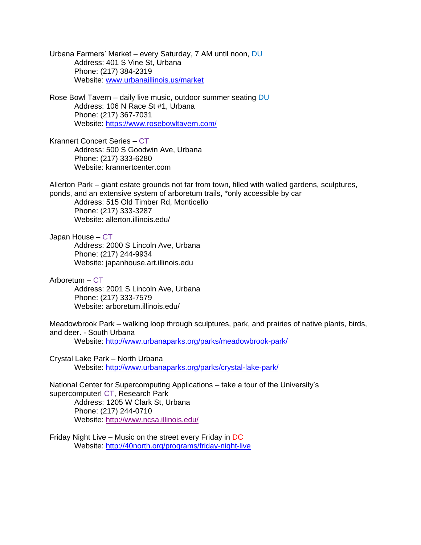Urbana Farmers' Market – every Saturday, 7 AM until noon, DU Address: 401 S Vine St, Urbana Phone: (217) 384-2319 Website: [www.urbanaillinois.us/market](http://www.urbanaillinois.us/market)

Rose Bowl Tavern – daily live music, outdoor summer seating DU Address: 106 N Race St #1, Urbana Phone: (217) 367-7031 Website:<https://www.rosebowltavern.com/>

Krannert Concert Series – CT Address: 500 S Goodwin Ave, Urbana Phone: (217) 333-6280 Website: krannertcenter.com

Allerton Park – giant estate grounds not far from town, filled with walled gardens, sculptures, ponds, and an extensive system of arboretum trails, \*only accessible by car

Address: 515 Old Timber Rd, Monticello Phone: (217) 333-3287 Website: allerton.illinois.edu/

Japan House – CT Address: 2000 S Lincoln Ave, Urbana Phone: (217) 244-9934 Website: japanhouse.art.illinois.edu

Arboretum – CT

Address: 2001 S Lincoln Ave, Urbana Phone: (217) 333-7579 Website: arboretum.illinois.edu/

Meadowbrook Park – walking loop through sculptures, park, and prairies of native plants, birds, and deer. - South Urbana

Website:<http://www.urbanaparks.org/parks/meadowbrook-park/>

Crystal Lake Park – North Urbana Website:<http://www.urbanaparks.org/parks/crystal-lake-park/>

National Center for Supercomputing Applications – take a tour of the University's supercomputer! CT, Research Park Address: 1205 W Clark St, Urbana Phone: (217) 244-0710 Website:<http://www.ncsa.illinois.edu/>

Friday Night Live – Music on the street every Friday in DC Website:<http://40north.org/programs/friday-night-live>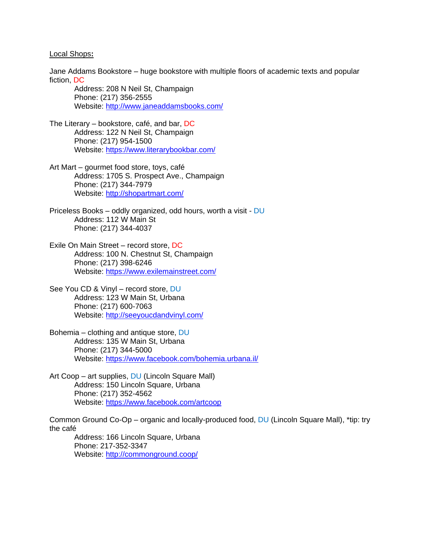#### Local Shops**:**

Jane Addams Bookstore – huge bookstore with multiple floors of academic texts and popular fiction, DC

Address: 208 N Neil St, Champaign Phone: (217) 356-2555 Website:<http://www.janeaddamsbooks.com/>

- The Literary bookstore, café, and bar, DC Address: 122 N Neil St, Champaign Phone: (217) 954-1500 Website:<https://www.literarybookbar.com/>
- Art Mart gourmet food store, toys, café Address: 1705 S. Prospect Ave., Champaign Phone: (217) 344-7979 Website:<http://shopartmart.com/>
- Priceless Books oddly organized, odd hours, worth a visit DU Address: 112 W Main St Phone: (217) 344-4037
- Exile On Main Street record store, DC Address: 100 N. Chestnut St, Champaign Phone: (217) 398-6246 Website:<https://www.exilemainstreet.com/>
- See You CD & Vinyl record store, DU Address: 123 W Main St, Urbana Phone: (217) 600-7063 Website:<http://seeyoucdandvinyl.com/>
- Bohemia clothing and antique store, DU Address: 135 W Main St, Urbana Phone: (217) 344-5000 Website:<https://www.facebook.com/bohemia.urbana.il/>
- Art Coop art supplies, DU (Lincoln Square Mall) Address: 150 Lincoln Square, Urbana Phone: (217) 352-4562 Website:<https://www.facebook.com/artcoop>

Common Ground Co-Op – organic and locally-produced food, DU (Lincoln Square Mall), \*tip: try the café

Address: 166 Lincoln Square, Urbana Phone: 217-352-3347 Website:<http://commonground.coop/>